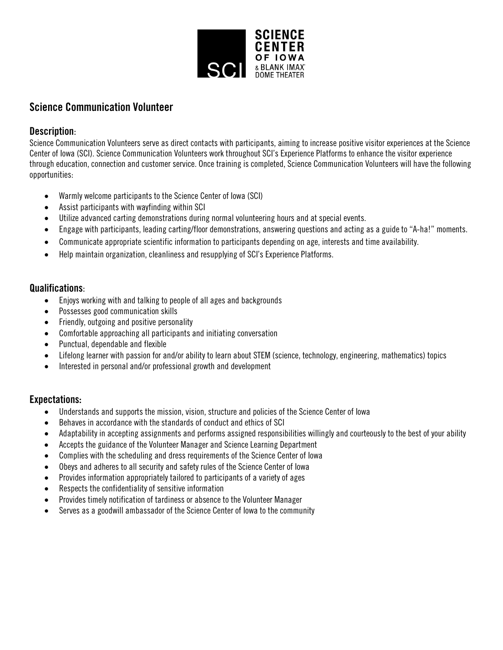

# Science Communication Volunteer

### Description:

Science Communication Volunteers serve as direct contacts with participants, aiming to increase positive visitor experiences at the Science Center of Iowa (SCI). Science Communication Volunteers work throughout SCI's Experience Platforms to enhance the visitor experience through education, connection and customer service. Once training is completed, Science Communication Volunteers will have the following opportunities:

- Warmly welcome participants to the Science Center of Iowa (SCI)
- Assist participants with wayfinding within SCI
- Utilize advanced carting demonstrations during normal volunteering hours and at special events.
- Engage with participants, leading carting/floor demonstrations, answering questions and acting as a guide to "A-ha!" moments.
- Communicate appropriate scientific information to participants depending on age, interests and time availability.
- Help maintain organization, cleanliness and resupplying of SCI's Experience Platforms.

## Qualifications:

- Enjoys working with and talking to people of all ages and backgrounds
- Possesses good communication skills
- Friendly, outgoing and positive personality
- Comfortable approaching all participants and initiating conversation
- Punctual, dependable and flexible
- Lifelong learner with passion for and/or ability to learn about STEM (science, technology, engineering, mathematics) topics
- Interested in personal and/or professional growth and development

## Expectations:

- Understands and supports the mission, vision, structure and policies of the Science Center of Iowa
- Behaves in accordance with the standards of conduct and ethics of SCI
- Adaptability in accepting assignments and performs assigned responsibilities willingly and courteously to the best of your ability
- Accepts the guidance of the Volunteer Manager and Science Learning Department
- Complies with the scheduling and dress requirements of the Science Center of Iowa
- Obeys and adheres to all security and safety rules of the Science Center of Iowa
- Provides information appropriately tailored to participants of a variety of ages
- Respects the confidentiality of sensitive information
- Provides timely notification of tardiness or absence to the Volunteer Manager
- Serves as a goodwill ambassador of the Science Center of Iowa to the community